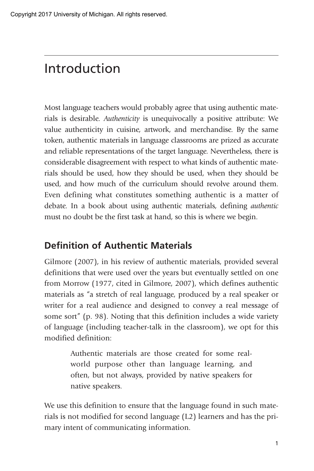# Introduction

Most language teachers would probably agree that using authentic materials is desirable. *Authenticity* is unequivocally a positive attribute: We value authenticity in cuisine, artwork, and merchandise. By the same token, authentic materials in language classrooms are prized as accurate and reliable representations of the target language. Nevertheless, there is considerable disagreement with respect to what kinds of authentic materials should be used, how they should be used, when they should be used, and how much of the curriculum should revolve around them. Even defining what constitutes something authentic is a matter of debate. In a book about using authentic materials, defining *authentic* must no doubt be the first task at hand, so this is where we begin.

# **Definition of Authentic Materials**

Gilmore (2007), in his review of authentic materials, provided several definitions that were used over the years but eventually settled on one from Morrow (1977, cited in Gilmore, 2007), which defines authentic materials as "a stretch of real language, produced by a real speaker or writer for a real audience and designed to convey a real message of some sort" (p. 98). Noting that this definition includes a wide variety of language (including teacher-talk in the classroom), we opt for this modified definition:

> Authentic materials are those created for some realworld purpose other than language learning, and often, but not always, provided by native speakers for native speakers.

We use this definition to ensure that the language found in such materials is not modified for second language (L2) learners and has the primary intent of communicating information.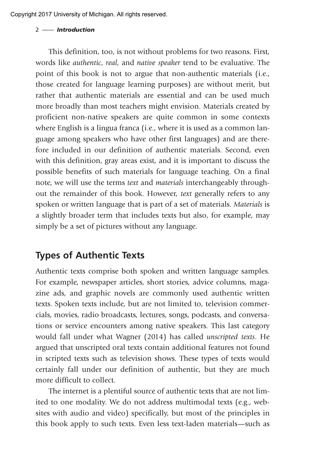#### 2 —— *Introduction*

This definition, too, is not without problems for two reasons. First, words like *authentic*, *real*, and *native speaker* tend to be evaluative. The point of this book is not to argue that non-authentic materials (i.e., those created for language learning purposes) are without merit, but rather that authentic materials are essential and can be used much more broadly than most teachers might envision. Materials created by proficient non-native speakers are quite common in some contexts where English is a lingua franca (i.e., where it is used as a common language among speakers who have other first languages) and are therefore included in our definition of authentic materials. Second, even with this definition, gray areas exist, and it is important to discuss the possible benefits of such materials for language teaching. On a final note, we will use the terms *text* and *materials* interchangeably throughout the remainder of this book. However, *text* generally refers to any spoken or written language that is part of a set of materials. *Materials* is a slightly broader term that includes texts but also, for example, may simply be a set of pictures without any language.

### **Types of Authentic Texts**

Authentic texts comprise both spoken and written language samples. For example, newspaper articles, short stories, advice columns, magazine ads, and graphic novels are commonly used authentic written texts. Spoken texts include, but are not limited to, television commercials, movies, radio broadcasts, lectures, songs, podcasts, and conversations or service encounters among native speakers. This last category would fall under what Wagner (2014) has called *unscripted texts*. He argued that unscripted oral texts contain additional features not found in scripted texts such as television shows. These types of texts would certainly fall under our definition of authentic, but they are much more difficult to collect.

The internet is a plentiful source of authentic texts that are not limited to one modality. We do not address multimodal texts (e.g., websites with audio and video) specifically, but most of the principles in this book apply to such texts. Even less text-laden materials—such as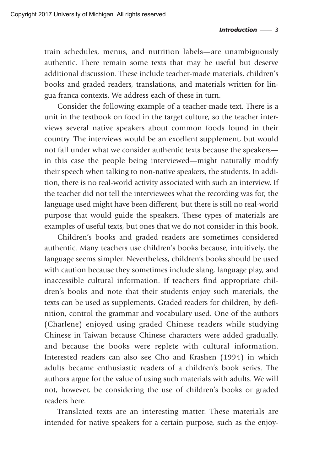train schedules, menus, and nutrition labels—are unambiguously authentic. There remain some texts that may be useful but deserve additional discussion. These include teacher-made materials, children's books and graded readers, translations, and materials written for lingua franca contexts. We address each of these in turn.

Consider the following example of a teacher-made text. There is a unit in the textbook on food in the target culture, so the teacher interviews several native speakers about common foods found in their country. The interviews would be an excellent supplement, but would not fall under what we consider authentic texts because the speakers in this case the people being interviewed—might naturally modify their speech when talking to non-native speakers, the students. In addition, there is no real-world activity associated with such an interview. If the teacher did not tell the interviewees what the recording was for, the language used might have been different, but there is still no real-world purpose that would guide the speakers. These types of materials are examples of useful texts, but ones that we do not consider in this book.

Children's books and graded readers are sometimes considered authentic. Many teachers use children's books because, intuitively, the language seems simpler. Nevertheless, children's books should be used with caution because they sometimes include slang, language play, and inaccessible cultural information. If teachers find appropriate children's books and note that their students enjoy such materials, the texts can be used as supplements. Graded readers for children, by definition, control the grammar and vocabulary used. One of the authors (Charlene) enjoyed using graded Chinese readers while studying Chinese in Taiwan because Chinese characters were added gradually, and because the books were replete with cultural information. Interested readers can also see Cho and Krashen (1994) in which adults became enthusiastic readers of a children's book series. The authors argue for the value of using such materials with adults. We will not, however, be considering the use of children's books or graded readers here.

Translated texts are an interesting matter. These materials are intended for native speakers for a certain purpose, such as the enjoy-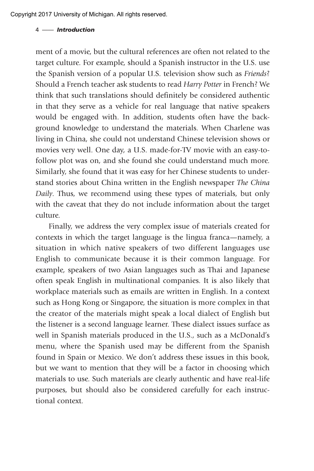#### 4 —— *Introduction*

ment of a movie, but the cultural references are often not related to the target culture. For example, should a Spanish instructor in the U.S. use the Spanish version of a popular U.S. television show such as *Friends*? Should a French teacher ask students to read *Harry Potter* in French? We think that such translations should definitely be considered authentic in that they serve as a vehicle for real language that native speakers would be engaged with. In addition, students often have the background knowledge to understand the materials. When Charlene was living in China, she could not understand Chinese television shows or movies very well. One day, a U.S. made-for-TV movie with an easy-tofollow plot was on, and she found she could understand much more. Similarly, she found that it was easy for her Chinese students to understand stories about China written in the English newspaper *The China Daily*. Thus, we recommend using these types of materials, but only with the caveat that they do not include information about the target culture.

Finally, we address the very complex issue of materials created for contexts in which the target language is the lingua franca—namely, a situation in which native speakers of two different languages use English to communicate because it is their common language. For example, speakers of two Asian languages such as Thai and Japanese often speak English in multinational companies. It is also likely that workplace materials such as emails are written in English. In a context such as Hong Kong or Singapore, the situation is more complex in that the creator of the materials might speak a local dialect of English but the listener is a second language learner. These dialect issues surface as well in Spanish materials produced in the U.S., such as a McDonald's menu, where the Spanish used may be different from the Spanish found in Spain or Mexico. We don't address these issues in this book, but we want to mention that they will be a factor in choosing which materials to use. Such materials are clearly authentic and have real-life purposes, but should also be considered carefully for each instructional context.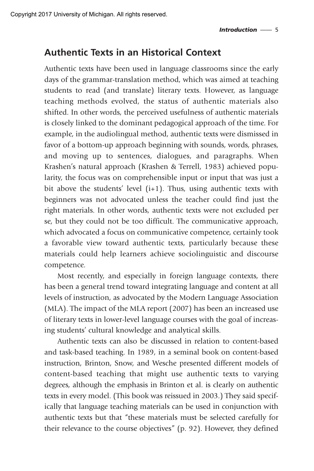### **Authentic Texts in an Historical Context**

Authentic texts have been used in language classrooms since the early days of the grammar-translation method, which was aimed at teaching students to read (and translate) literary texts. However, as language teaching methods evolved, the status of authentic materials also shifted. In other words, the perceived usefulness of authentic materials is closely linked to the dominant pedagogical approach of the time. For example, in the audiolingual method, authentic texts were dismissed in favor of a bottom-up approach beginning with sounds, words, phrases, and moving up to sentences, dialogues, and paragraphs. When Krashen's natural approach (Krashen & Terrell, 1983) achieved popularity, the focus was on comprehensible input or input that was just a bit above the students' level  $(i+1)$ . Thus, using authentic texts with beginners was not advocated unless the teacher could find just the right materials. In other words, authentic texts were not excluded per se, but they could not be too difficult. The communicative approach, which advocated a focus on communicative competence, certainly took a favorable view toward authentic texts, particularly because these materials could help learners achieve sociolinguistic and discourse competence.

Most recently, and especially in foreign language contexts, there has been a general trend toward integrating language and content at all levels of instruction, as advocated by the Modern Language Association (MLA). The impact of the MLA report (2007) has been an increased use of literary texts in lower-level language courses with the goal of increasing students' cultural knowledge and analytical skills.

Authentic texts can also be discussed in relation to content-based and task-based teaching. In 1989, in a seminal book on content-based instruction, Brinton, Snow, and Wesche presented different models of content-based teaching that might use authentic texts to varying degrees, although the emphasis in Brinton et al. is clearly on authentic texts in every model. (This book was reissued in 2003.) They said specifically that language teaching materials can be used in conjunction with authentic texts but that "these materials must be selected carefully for their relevance to the course objectives" (p. 92). However, they defined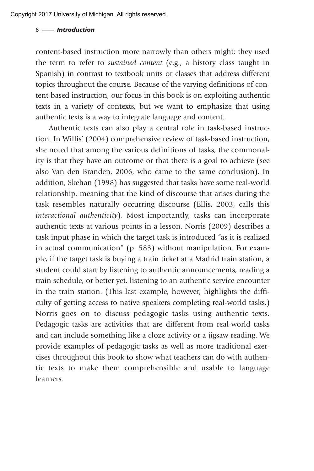### 6 —— *Introduction*

content-based instruction more narrowly than others might; they used the term to refer to *sustained content* (e.g., a history class taught in Spanish) in contrast to textbook units or classes that address different topics throughout the course. Because of the varying definitions of content-based instruction, our focus in this book is on exploiting authentic texts in a variety of contexts, but we want to emphasize that using authentic texts is a way to integrate language and content.

Authentic texts can also play a central role in task-based instruction. In Willis' (2004) comprehensive review of task-based instruction, she noted that among the various definitions of tasks, the commonality is that they have an outcome or that there is a goal to achieve (see also Van den Branden, 2006, who came to the same conclusion). In addition, Skehan (1998) has suggested that tasks have some real-world relationship, meaning that the kind of discourse that arises during the task resembles naturally occurring discourse (Ellis, 2003, calls this *interactional authenticity*). Most importantly, tasks can incorporate authentic texts at various points in a lesson. Norris (2009) describes a task-input phase in which the target task is introduced "as it is realized in actual communication" (p. 583) without manipulation. For example, if the target task is buying a train ticket at a Madrid train station, a student could start by listening to authentic announcements, reading a train schedule, or better yet, listening to an authentic service encounter in the train station. (This last example, however, highlights the difficulty of getting access to native speakers completing real-world tasks.) Norris goes on to discuss pedagogic tasks using authentic texts. Pedagogic tasks are activities that are different from real-world tasks and can include something like a cloze activity or a jigsaw reading. We provide examples of pedagogic tasks as well as more traditional exercises throughout this book to show what teachers can do with authentic texts to make them comprehensible and usable to language learners.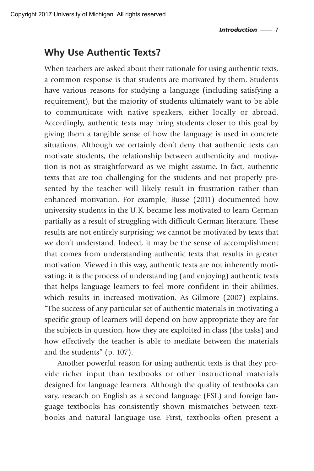### **Why Use Authentic Texts?**

When teachers are asked about their rationale for using authentic texts, a common response is that students are motivated by them. Students have various reasons for studying a language (including satisfying a requirement), but the majority of students ultimately want to be able to communicate with native speakers, either locally or abroad. Accordingly, authentic texts may bring students closer to this goal by giving them a tangible sense of how the language is used in concrete situations. Although we certainly don't deny that authentic texts can motivate students, the relationship between authenticity and motivation is not as straightforward as we might assume. In fact, authentic texts that are too challenging for the students and not properly presented by the teacher will likely result in frustration rather than enhanced motivation. For example, Busse (2011) documented how university students in the U.K. became less motivated to learn German partially as a result of struggling with difficult German literature. These results are not entirely surprising: we cannot be motivated by texts that we don't understand. Indeed, it may be the sense of accomplishment that comes from understanding authentic texts that results in greater motivation. Viewed in this way, authentic texts are not inherently motivating; it is the process of understanding (and enjoying) authentic texts that helps language learners to feel more confident in their abilities, which results in increased motivation. As Gilmore (2007) explains, "The success of any particular set of authentic materials in motivating a specific group of learners will depend on how appropriate they are for the subjects in question, how they are exploited in class (the tasks) and how effectively the teacher is able to mediate between the materials and the students" (p. 107).

Another powerful reason for using authentic texts is that they provide richer input than textbooks or other instructional materials designed for language learners. Although the quality of textbooks can vary, research on English as a second language (ESL) and foreign language textbooks has consistently shown mismatches between textbooks and natural language use. First, textbooks often present a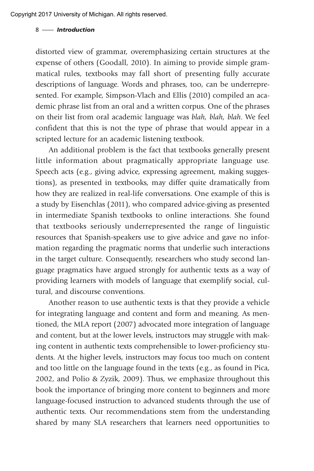#### 8 —— *Introduction*

distorted view of grammar, overemphasizing certain structures at the expense of others (Goodall, 2010). In aiming to provide simple grammatical rules, textbooks may fall short of presenting fully accurate descriptions of language. Words and phrases, too, can be underrepresented. For example, Simpson-Vlach and Ellis (2010) compiled an academic phrase list from an oral and a written corpus. One of the phrases on their list from oral academic language was *blah, blah, blah*. We feel confident that this is not the type of phrase that would appear in a scripted lecture for an academic listening textbook.

An additional problem is the fact that textbooks generally present little information about pragmatically appropriate language use. Speech acts (e.g., giving advice, expressing agreement, making suggestions), as presented in textbooks, may differ quite dramatically from how they are realized in real-life conversations. One example of this is a study by Eisenchlas (2011), who compared advice-giving as presented in intermediate Spanish textbooks to online interactions. She found that textbooks seriously underrepresented the range of linguistic resources that Spanish-speakers use to give advice and gave no information regarding the pragmatic norms that underlie such interactions in the target culture. Consequently, researchers who study second language pragmatics have argued strongly for authentic texts as a way of providing learners with models of language that exemplify social, cultural, and discourse conventions.

Another reason to use authentic texts is that they provide a vehicle for integrating language and content and form and meaning. As mentioned, the MLA report (2007) advocated more integration of language and content, but at the lower levels, instructors may struggle with making content in authentic texts comprehensible to lower-proficiency students. At the higher levels, instructors may focus too much on content and too little on the language found in the texts (e.g., as found in Pica, 2002, and Polio & Zyzik, 2009). Thus, we emphasize throughout this book the importance of bringing more content to beginners and more language-focused instruction to advanced students through the use of authentic texts. Our recommendations stem from the understanding shared by many SLA researchers that learners need opportunities to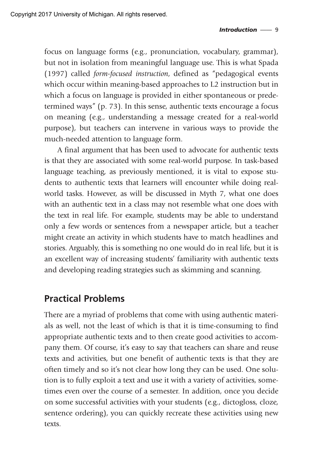focus on language forms (e.g., pronunciation, vocabulary, grammar), but not in isolation from meaningful language use. This is what Spada (1997) called *form-focused instruction*, defined as "pedagogical events which occur within meaning-based approaches to L2 instruction but in which a focus on language is provided in either spontaneous or predetermined ways" (p. 73). In this sense, authentic texts encourage a focus on meaning (e.g., understanding a message created for a real-world purpose), but teachers can intervene in various ways to provide the much-needed attention to language form.

A final argument that has been used to advocate for authentic texts is that they are associated with some real-world purpose. In task-based language teaching, as previously mentioned, it is vital to expose students to authentic texts that learners will encounter while doing realworld tasks. However, as will be discussed in Myth 7, what one does with an authentic text in a class may not resemble what one does with the text in real life. For example, students may be able to understand only a few words or sentences from a newspaper article, but a teacher might create an activity in which students have to match headlines and stories. Arguably, this is something no one would do in real life, but it is an excellent way of increasing students' familiarity with authentic texts and developing reading strategies such as skimming and scanning.

## **Practical Problems**

There are a myriad of problems that come with using authentic materials as well, not the least of which is that it is time-consuming to find appropriate authentic texts and to then create good activities to accompany them. Of course, it's easy to say that teachers can share and reuse texts and activities, but one benefit of authentic texts is that they are often timely and so it's not clear how long they can be used. One solution is to fully exploit a text and use it with a variety of activities, sometimes even over the course of a semester. In addition, once you decide on some successful activities with your students (e.g., dictogloss, cloze, sentence ordering), you can quickly recreate these activities using new texts.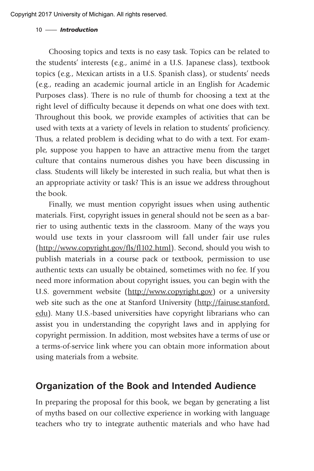### 10 —— *Introduction*

Choosing topics and texts is no easy task. Topics can be related to the students' interests (e.g., animé in a U.S. Japanese class), textbook topics (e.g., Mexican artists in a U.S. Spanish class), or students' needs (e.g., reading an academic journal article in an English for Academic Purposes class). There is no rule of thumb for choosing a text at the right level of difficulty because it depends on what one does with text. Throughout this book, we provide examples of activities that can be used with texts at a variety of levels in relation to students' proficiency. Thus, a related problem is deciding what to do with a text. For example, suppose you happen to have an attractive menu from the target culture that contains numerous dishes you have been discussing in class. Students will likely be interested in such realia, but what then is an appropriate activity or task? This is an issue we address throughout the book.

Finally, we must mention copyright issues when using authentic materials. First, copyright issues in general should not be seen as a barrier to using authentic texts in the classroom. Many of the ways you would use texts in your classroom will fall under fair use rules (http://www.copyright.gov/fls/fl102.html). Second, should you wish to publish materials in a course pack or textbook, permission to use authentic texts can usually be obtained, sometimes with no fee. If you need more information about copyright issues, you can begin with the U.S. government website (http://www.copyright.gov) or a university web site such as the one at Stanford University (http://fairuse.stanford. edu). Many U.S.-based universities have copyright librarians who can assist you in understanding the copyright laws and in applying for copyright permission. In addition, most websites have a terms of use or a terms-of-service link where you can obtain more information about using materials from a website.

### **Organization of the Book and Intended Audience**

In preparing the proposal for this book, we began by generating a list of myths based on our collective experience in working with language teachers who try to integrate authentic materials and who have had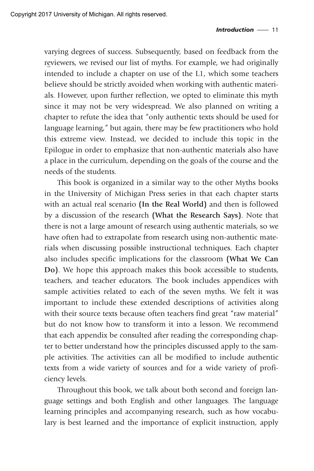varying degrees of success. Subsequently, based on feedback from the reviewers, we revised our list of myths. For example, we had originally intended to include a chapter on use of the L1, which some teachers believe should be strictly avoided when working with authentic materials. However, upon further reflection, we opted to eliminate this myth since it may not be very widespread. We also planned on writing a chapter to refute the idea that "only authentic texts should be used for language learning," but again, there may be few practitioners who hold this extreme view. Instead, we decided to include this topic in the Epilogue in order to emphasize that non-authentic materials also have a place in the curriculum, depending on the goals of the course and the needs of the students.

This book is organized in a similar way to the other Myths books in the University of Michigan Press series in that each chapter starts with an actual real scenario **(In the Real World)** and then is followed by a discussion of the research **(What the Research Says)**. Note that there is not a large amount of research using authentic materials, so we have often had to extrapolate from research using non-authentic materials when discussing possible instructional techniques. Each chapter also includes specific implications for the classroom **(What We Can Do)**. We hope this approach makes this book accessible to students, teachers, and teacher educators. The book includes appendices with sample activities related to each of the seven myths. We felt it was important to include these extended descriptions of activities along with their source texts because often teachers find great "raw material" but do not know how to transform it into a lesson. We recommend that each appendix be consulted after reading the corresponding chapter to better understand how the principles discussed apply to the sample activities. The activities can all be modified to include authentic texts from a wide variety of sources and for a wide variety of proficiency levels.

Throughout this book, we talk about both second and foreign language settings and both English and other languages. The language learning principles and accompanying research, such as how vocabulary is best learned and the importance of explicit instruction, apply